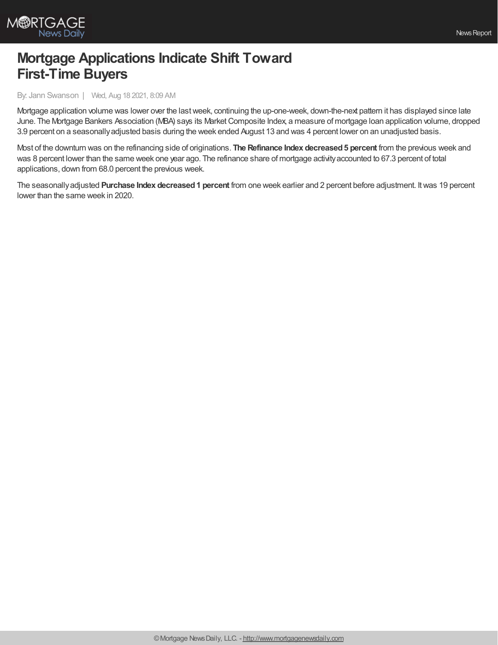

## **Mortgage Applications Indicate Shift Toward First-Time Buyers**

## By: Jann Swanson | Wed, Aug 18 2021, 8:09 AM

Mortgage application volume was lower over the lastweek, continuing the up-one-week, down-the-next pattern it has displayed since late June. The Mortgage Bankers Association (MBA) says its Market Composite Index, a measure of mortgage Ioan application volume, dropped 3.9 percent on a seasonallyadjusted basis during the week ended August 13 and was 4 percent lower on an unadjusted basis.

Most of the downturn was on the refinancing side of originations. **The Refinance Index decreased5 percent** from the previous week and was 8 percent lower than the same week one year ago. The refinance share of mortgage activityaccounted to 67.3 percent of total applications, down from 68.0 percent the previous week.

The seasonallyadjusted **Purchase Index decreased1 percent** from one week earlier and 2 percent before adjustment. Itwas 19 percent lower than the same week in 2020.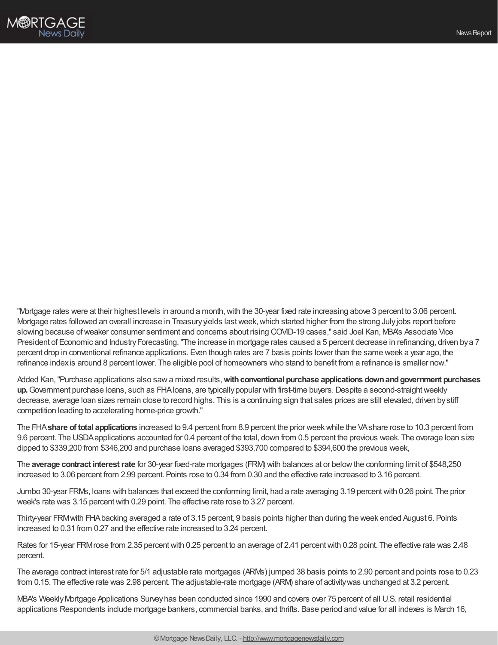

"Mortgage rates were at their highest levels in around a month,with the 30-year fixed rate increasing above 3 percent to 3.06 percent. Mortgage rates followed an overall increase in Treasuryyields lastweek,which started higher from the strong Julyjobs report before slowing because ofweaker consumer sentiment and concerns about rising COVID-19 cases," said Joel Kan, MBA's Associate Vice President of Economic and Industry Forecasting. "The increase in mortgage rates caused a 5 percent decrease in refinancing, driven by a 7 percent drop in conventional refinance applications. Even though rates are 7 basis points lower than the same week a year ago, the refinance indexis around 8 percent lower. The eligible pool of homeowners who stand to benefit from a refinance is smaller now."

Added Kan,"Purchase applications also sawa mixed results,**withconventional purchase applications downandgovernment purchases** up. Government purchase loans, such as FHAIoans, are typically popular with first-time buyers. Despite a second-straight weekly decrease, average loan sizes remain close to record highs. This is a continuing sign that sales prices are still elevated, driven bystiff competition leading to accelerating home-price growth."

The FHA**share of total applications** increased to 9.4 percent from 8.9 percent the prior weekwhile the VAshare rose to 10.3 percent from 9.6 percent. The USDAapplications accounted for 0.4 percent of the total, down from 0.5 percent the previous week. The overage loan size dipped to \$339,200 from \$346,200 and purchase loans averaged \$393,700 compared to \$394,600 the previous week,

The **average contract interestrate** for 30-year fixed-rate mortgages (FRM) with balances at or belowthe conforming limit of \$548,250 increased to 3.06 percent from 2.99 percent. Points rose to 0.34 from 0.30 and the effective rate increased to 3.16 percent.

Jumbo 30-year FRMs, loans with balances that exceed the conforming limit, had a rate averaging 3.19 percentwith 0.26 point. The prior week's rate was 3.15 percent with 0.29 point. The effective rate rose to 3.27 percent.

Thirty-year FRMwith FHAbacking averaged a rate of 3.15 percent, 9 basis points higher than during the week ended August 6. Points increased to 0.31 from 0.27 and the effective rate increased to 3.24 percent.

Rates for 15-year FRM rose from 2.35 percent with 0.25 percent to an average of 2.41 percent with 0.28 point. The effective rate was 2.48 percent.

The average contract interest rate for 5/1 adjustable rate mortgages (ARMs) jumped 38 basis points to 2.90 percent and points rose to 0.23 from 0.15. The effective rate was 2.98 percent. The adjustable-rate mortgage (ARM) share of activitywas unchanged at 3.2 percent.

MBA's WeeklyMortgage Applications Surveyhas been conducted since 1990 and covers over 75 percent of all U.S. retail residential applications Respondents include mortgage bankers, commercial banks, and thrifts. Base period and value for all indexes is March 16,